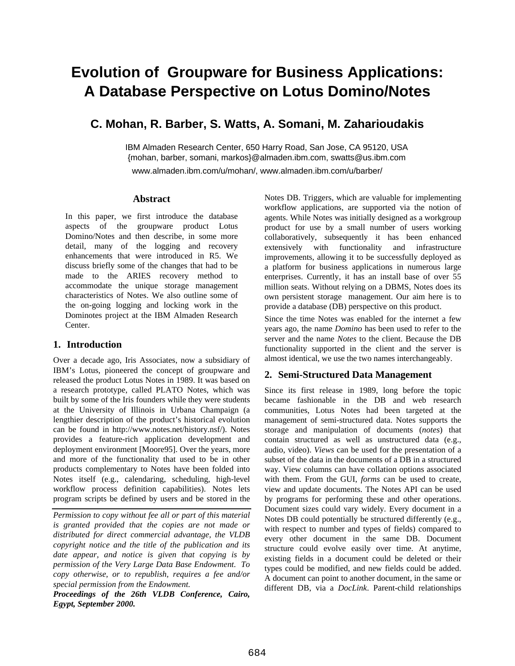# **Evolution of Groupware for Business Applications: A Database Perspective on Lotus Domino/Notes**

# **C. Mohan, R. Barber, S. Watts, A. Somani, M. Zaharioudakis**

IBM Almaden Research Center, 650 Harry Road, San Jose, CA 95120, USA {mohan, barber, somani, markos}@almaden.ibm.com, swatts@us.ibm.com

www.almaden.ibm.com/u/mohan/, www.almaden.ibm.com/u/barber/

#### **Abstract**

In this paper, we first introduce the database aspects of the groupware product Lotus Domino/Notes and then describe, in some more detail, many of the logging and recovery enhancements that were introduced in R5. We discuss briefly some of the changes that had to be made to the ARIES recovery method to accommodate the unique storage management characteristics of Notes. We also outline some of the on-going logging and locking work in the Dominotes project at the IBM Almaden Research Center.

## **1. Introduction**

Over a decade ago, Iris Associates, now a subsidiary of IBM's Lotus, pioneered the concept of groupware and released the product Lotus Notes in 1989. It was based on a research prototype, called PLATO Notes, which was built by some of the Iris founders while they were students at the University of Illinois in Urbana Champaign (a lengthier description of the product's historical evolution can be found in http://www.notes.net/history.nsf/). Notes provides a feature-rich application development and deployment environment [Moore95]. Over the years, more and more of the functionality that used to be in other products complementary to Notes have been folded into Notes itself (e.g., calendaring, scheduling, high-level workflow process definition capabilities). Notes lets program scripts be defined by users and be stored in the

*Permission to copy without fee all or part of this material is granted provided that the copies are not made or distributed for direct commercial advantage, the VLDB copyright notice and the title of the publication and its date appear, and notice is given that copying is by permission of the Very Large Data Base Endowment. To copy otherwise, or to republish, requires a fee and/or special permission from the Endowment.*

*Proceedings of the 26th VLDB Conference, Cairo, Egypt, September 2000.*

Notes DB. Triggers, which are valuable for implementing workflow applications, are supported via the notion of agents. While Notes was initially designed as a workgroup product for use by a small number of users working collaboratively, subsequently it has been enhanced extensively with functionality and infrastructure improvements, allowing it to be successfully deployed as a platform for business applications in numerous large enterprises. Currently, it has an install base of over 55 million seats. Without relying on a DBMS, Notes does its own persistent storage management. Our aim here is to provide a database (DB) perspective on this product.

Since the time Notes was enabled for the internet a few years ago, the name *Domino* has been used to refer to the server and the name *Notes* to the client. Because the DB functionality supported in the client and the server is almost identical, we use the two names interchangeably.

### **2. Semi-Structured Data Management**

Since its first release in 1989, long before the topic became fashionable in the DB and web research communities, Lotus Notes had been targeted at the management of semi-structured data. Notes supports the storage and manipulation of documents (*notes*) that contain structured as well as unstructured data (e.g., audio, video). *Views* can be used for the presentation of a subset of the data in the documents of a DB in a structured way. View columns can have collation options associated with them. From the GUI, *forms* can be used to create, view and update documents. The Notes API can be used by programs for performing these and other operations. Document sizes could vary widely. Every document in a Notes DB could potentially be structured differently (e.g., with respect to number and types of fields) compared to every other document in the same DB. Document structure could evolve easily over time. At anytime, existing fields in a document could be deleted or their types could be modified, and new fields could be added. A document can point to another document, in the same or different DB, via a *DocLink*. Parent-child relationships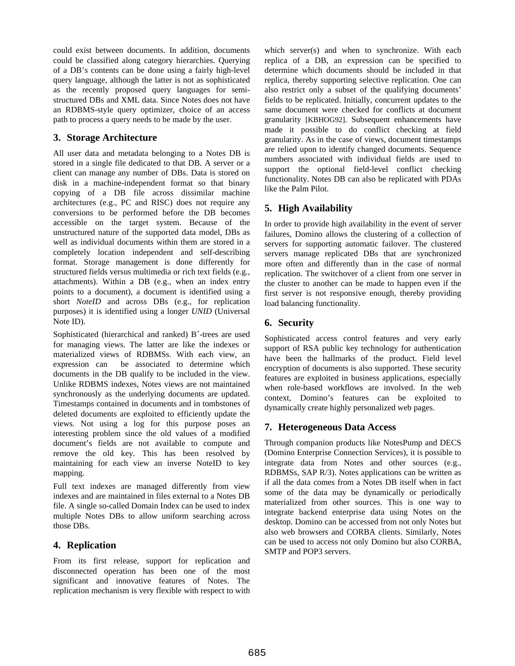could exist between documents. In addition, documents could be classified along category hierarchies. Querying of a DB's contents can be done using a fairly high-level query language, although the latter is not as sophisticated as the recently proposed query languages for semistructured DBs and XML data. Since Notes does not have an RDBMS-style query optimizer, choice of an access path to process a query needs to be made by the user.

## **3. Storage Architecture**

All user data and metadata belonging to a Notes DB is stored in a single file dedicated to that DB. A server or a client can manage any number of DBs. Data is stored on disk in a machine-independent format so that binary copying of a DB file across dissimilar machine architectures (e.g., PC and RISC) does not require any conversions to be performed before the DB becomes accessible on the target system. Because of the unstructured nature of the supported data model, DBs as well as individual documents within them are stored in a completely location independent and self-describing format. Storage management is done differently for structured fields versus multimedia or rich text fields (e.g., attachments). Within a DB (e.g., when an index entry points to a document), a document is identified using a short *NoteID* and across DBs (e.g., for replication purposes) it is identified using a longer *UNID* (Universal Note ID).

Sophisticated (hierarchical and ranked) B<sup>+</sup>-trees are used for managing views. The latter are like the indexes or materialized views of RDBMSs. With each view, an expression can be associated to determine which documents in the DB qualify to be included in the view. Unlike RDBMS indexes, Notes views are not maintained synchronously as the underlying documents are updated. Timestamps contained in documents and in tombstones of deleted documents are exploited to efficiently update the views. Not using a log for this purpose poses an interesting problem since the old values of a modified document's fields are not available to compute and remove the old key. This has been resolved by maintaining for each view an inverse NoteID to key mapping.

Full text indexes are managed differently from view indexes and are maintained in files external to a Notes DB file. A single so-called Domain Index can be used to index multiple Notes DBs to allow uniform searching across those DBs.

# **4. Replication**

From its first release, support for replication and disconnected operation has been one of the most significant and innovative features of Notes. The replication mechanism is very flexible with respect to with which server(s) and when to synchronize. With each replica of a DB, an expression can be specified to determine which documents should be included in that replica, thereby supporting selective replication. One can also restrict only a subset of the qualifying documents' fields to be replicated. Initially, concurrent updates to the same document were checked for conflicts at document granularity [KBHOG92]. Subsequent enhancements have made it possible to do conflict checking at field granularity. As in the case of views, document timestamps are relied upon to identify changed documents. Sequence numbers associated with individual fields are used to support the optional field-level conflict checking functionality. Notes DB can also be replicated with PDAs like the Palm Pilot.

# **5. High Availability**

In order to provide high availability in the event of server failures, Domino allows the clustering of a collection of servers for supporting automatic failover. The clustered servers manage replicated DBs that are synchronized more often and differently than in the case of normal replication. The switchover of a client from one server in the cluster to another can be made to happen even if the first server is not responsive enough, thereby providing load balancing functionality.

# **6. Security**

Sophisticated access control features and very early support of RSA public key technology for authentication have been the hallmarks of the product. Field level encryption of documents is also supported. These security features are exploited in business applications, especially when role-based workflows are involved. In the web context, Domino's features can be exploited to dynamically create highly personalized web pages.

# **7. Heterogeneous Data Access**

Through companion products like NotesPump and DECS (Domino Enterprise Connection Services), it is possible to integrate data from Notes and other sources (e.g., RDBMSs, SAP R/3). Notes applications can be written as if all the data comes from a Notes DB itself when in fact some of the data may be dynamically or periodically materialized from other sources. This is one way to integrate backend enterprise data using Notes on the desktop. Domino can be accessed from not only Notes but also web browsers and CORBA clients. Similarly, Notes can be used to access not only Domino but also CORBA, SMTP and POP3 servers.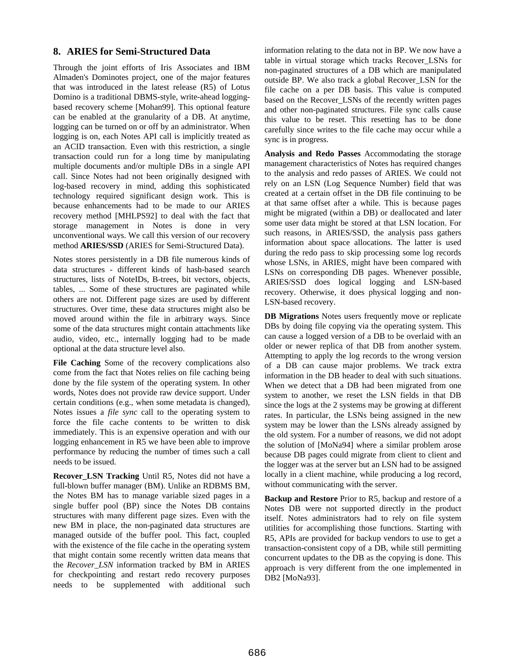## **8. ARIES for Semi-Structured Data**

Through the joint efforts of Iris Associates and IBM Almaden's Dominotes project, one of the major features that was introduced in the latest release (R5) of Lotus Domino is a traditional DBMS-style, write-ahead loggingbased recovery scheme [Mohan99]. This optional feature can be enabled at the granularity of a DB. At anytime, logging can be turned on or off by an administrator. When logging is on, each Notes API call is implicitly treated as an ACID transaction. Even with this restriction, a single transaction could run for a long time by manipulating multiple documents and/or multiple DBs in a single API call. Since Notes had not been originally designed with log-based recovery in mind, adding this sophisticated technology required significant design work. This is because enhancements had to be made to our ARIES recovery method [MHLPS92] to deal with the fact that storage management in Notes is done in very unconventional ways. We call this version of our recovery method **ARIES/SSD** (ARIES for Semi-Structured Data).

Notes stores persistently in a DB file numerous kinds of data structures - different kinds of hash-based search structures, lists of NoteIDs, B-trees, bit vectors, objects, tables, ... Some of these structures are paginated while others are not. Different page sizes are used by different structures. Over time, these data structures might also be moved around within the file in arbitrary ways. Since some of the data structures might contain attachments like audio, video, etc., internally logging had to be made optional at the data structure level also.

**File Caching** Some of the recovery complications also come from the fact that Notes relies on file caching being done by the file system of the operating system. In other words, Notes does not provide raw device support. Under certain conditions (e.g., when some metadata is changed), Notes issues a *file sync* call to the operating system to force the file cache contents to be written to disk immediately. This is an expensive operation and with our logging enhancement in R5 we have been able to improve performance by reducing the number of times such a call needs to be issued.

**Recover\_LSN Tracking** Until R5, Notes did not have a full-blown buffer manager (BM). Unlike an RDBMS BM, the Notes BM has to manage variable sized pages in a single buffer pool (BP) since the Notes DB contains structures with many different page sizes. Even with the new BM in place, the non-paginated data structures are managed outside of the buffer pool. This fact, coupled with the existence of the file cache in the operating system that might contain some recently written data means that the *Recover\_LSN* information tracked by BM in ARIES for checkpointing and restart redo recovery purposes needs to be supplemented with additional such information relating to the data not in BP. We now have a table in virtual storage which tracks Recover\_LSNs for non-paginated structures of a DB which are manipulated outside BP. We also track a global Recover\_LSN for the file cache on a per DB basis. This value is computed based on the Recover LSNs of the recently written pages and other non-paginated structures. File sync calls cause this value to be reset. This resetting has to be done carefully since writes to the file cache may occur while a sync is in progress.

**Analysis and Redo Passes** Accommodating the storage management characteristics of Notes has required changes to the analysis and redo passes of ARIES. We could not rely on an LSN (Log Sequence Number) field that was created at a certain offset in the DB file continuing to be at that same offset after a while. This is because pages might be migrated (within a DB) or deallocated and later some user data might be stored at that LSN location. For such reasons, in ARIES/SSD, the analysis pass gathers information about space allocations. The latter is used during the redo pass to skip processing some log records whose LSNs, in ARIES, might have been compared with LSNs on corresponding DB pages. Whenever possible, ARIES/SSD does logical logging and LSN-based recovery. Otherwise, it does physical logging and non-LSN-based recovery.

**DB Migrations** Notes users frequently move or replicate DBs by doing file copying via the operating system. This can cause a logged version of a DB to be overlaid with an older or newer replica of that DB from another system. Attempting to apply the log records to the wrong version of a DB can cause major problems. We track extra information in the DB header to deal with such situations. When we detect that a DB had been migrated from one system to another, we reset the LSN fields in that DB since the logs at the 2 systems may be growing at different rates. In particular, the LSNs being assigned in the new system may be lower than the LSNs already assigned by the old system. For a number of reasons, we did not adopt the solution of [MoNa94] where a similar problem arose because DB pages could migrate from client to client and the logger was at the server but an LSN had to be assigned locally in a client machine, while producing a log record, without communicating with the server.

**Backup and Restore** Prior to R5, backup and restore of a Notes DB were not supported directly in the product itself. Notes administrators had to rely on file system utilities for accomplishing those functions. Starting with R5, APIs are provided for backup vendors to use to get a transaction-consistent copy of a DB, while still permitting concurrent updates to the DB as the copying is done. This approach is very different from the one implemented in DB2 [MoNa93].